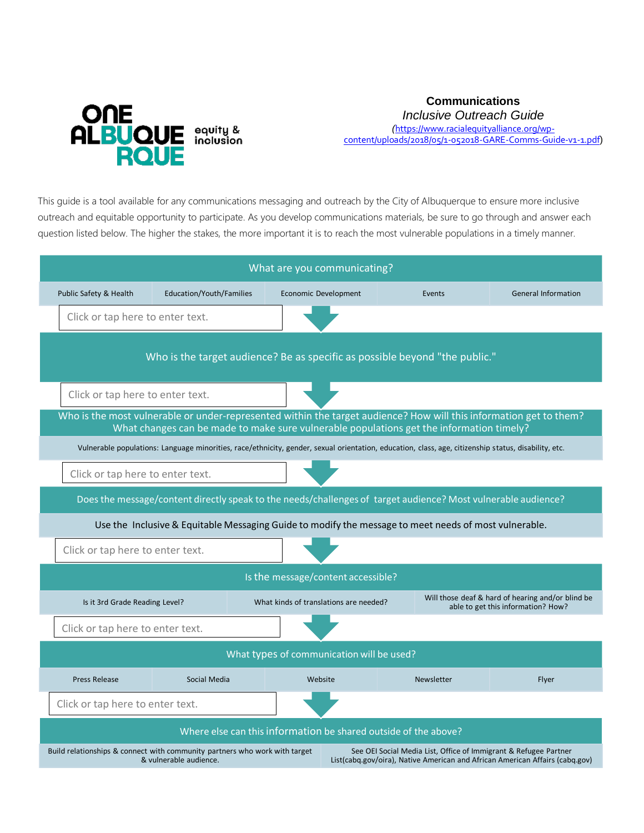

**Communications** 

*Inclusive Outreach Guide* 

*(*[https://www.racialequityalliance.org/wp](https://www.racialequityalliance.org/wp-content/uploads/2018/05/1-052018-GARE-Comms-Guide-v1-1.pdf)[content/uploads/2018/05/1-052018-GARE-Comms-Guide-v1-1.pdf](https://www.racialequityalliance.org/wp-content/uploads/2018/05/1-052018-GARE-Comms-Guide-v1-1.pdf))

This guide is a tool available for any communications messaging and outreach by the City of Albuquerque to ensure more inclusive outreach and equitable opportunity to participate. As you develop communications materials, be sure to go through and answer each question listed below. The higher the stakes, the more important it is to reach the most vulnerable populations in a timely manner.

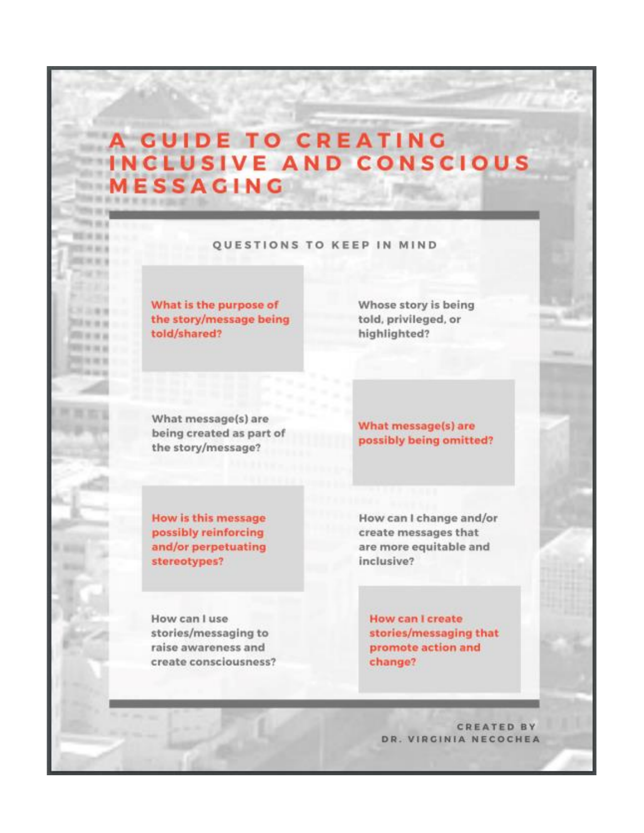## A GUIDE TO CREATING INCLUSIVE AND CONSCIOUS **ESSACING**

## **QUESTIONS TO KEEP IN MIND**

What is the purpose of the story/message being told/shared?

Whose story is being told, privileged, or highlighted?

What message(s) are being created as part of the story/message?

What message(s) are possibly being omitted?

**How is this message** possibly reinforcing and/or perpetuating stereotypes?

How can I change and/or create messages that are more equitable and inclusive?

How can I use stories/messaging to raise awareness and create consciousness? **How can I create** stories/messaging that promote action and change?

**CREATED BY** DR. VIRGINIA NECOCHEA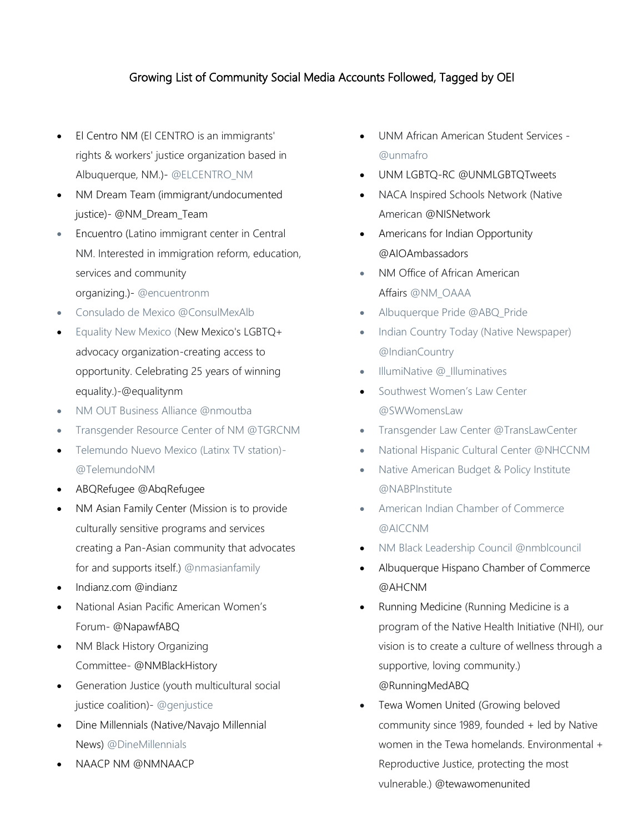## Growing List of Community Social Media Accounts Followed, Tagged by OEI

- El Centro NM (El CENTRO is an immigrants' rights & workers' justice organization based in Albuquerque, NM.)- @ELCENTRO\_NM
- NM Dream Team (immigrant/undocumented justice)- @NM\_Dream\_Team
- Encuentro (Latino immigrant center in Central NM. Interested in immigration reform, education, services and community organizing.)- @encuentronm
- Consulado de Mexico @ConsulMexAlb
- Equality New Mexico (New Mexico's LGBTQ+ advocacy organization-creating access to opportunity. Celebrating 25 years of winning equality.)-@equalitynm
- NM OUT Business Alliance @nmoutba
- Transgender Resource Center of NM @TGRCNM
- Telemundo Nuevo Mexico (Latinx TV station)- @TelemundoNM
- ABQRefugee @AbqRefugee
- NM Asian Family Center (Mission is to provide culturally sensitive programs and services creating a Pan-Asian community that advocates for and supports itself.) @nmasianfamily
- Indianz.com @indianz
- National Asian Pacific American Women's Forum- @NapawfABQ
- NM Black History Organizing Committee- @NMBlackHistory
- Generation Justice (youth multicultural social justice coalition)- @genjustice
- Dine Millennials (Native/Navajo Millennial News) @DineMillennials
- NAACP NM @NMNAACP
- UNM African American Student Services @unmafro
- UNM LGBTQ-RC @UNMLGBTQTweets
- NACA Inspired Schools Network (Native American @NISNetwork
- Americans for Indian Opportunity @AIOAmbassadors
- NM Office of African American Affairs @NM\_OAAA
- Albuquerque Pride @ABQ\_Pride
- Indian Country Today (Native Newspaper) @IndianCountry
- IllumiNative @\_Illuminatives
- Southwest Women's Law Center @SWWomensLaw
- Transgender Law Center @TransLawCenter
- National Hispanic Cultural Center @NHCCNM
- Native American Budget & Policy Institute @NABPInstitute
- American Indian Chamber of Commerce @AICCNM
- NM Black Leadership Council @nmblcouncil
- Albuquerque Hispano Chamber of Commerce @AHCNM
- Running Medicine (Running Medicine is a program of the Native Health Initiative (NHI), our vision is to create a culture of wellness through a supportive, loving community.) @RunningMedABQ
- Tewa Women United (Growing beloved community since 1989, founded + led by Native women in the Tewa homelands. Environmental + Reproductive Justice, protecting the most vulnerable.) @tewawomenunited